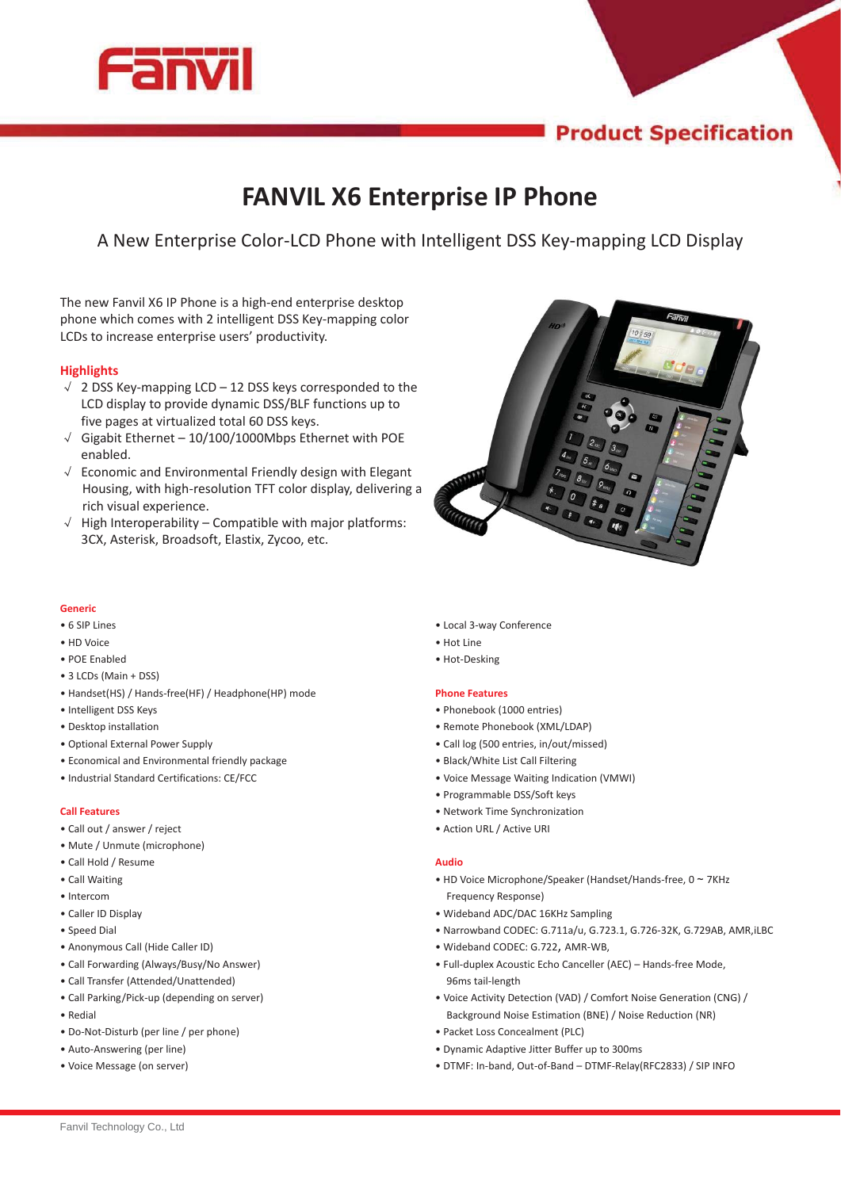

# **Product Specification**

# **FANVIL X6 Enterprise IP Phone**

A New Enterprise Color-LCD Phone with Intelligent DSS Key-mapping LCD Display

The new Fanvil X6 IP Phone is a high-end enterprise desktop phone which comes with 2 intelligent DSS Key-mapping color LCDs to increase enterprise users' productivity.

# **Highlights**

- $\sqrt{2}$  2 DSS Key-mapping LCD 12 DSS keys corresponded to the LCD display to provide dynamic DSS/BLF functions up to five pages at virtualized total 60 DSS keys. LCD display to provide dynamic DSS/BLF functions up to<br>five pages at virtualized total 60 DSS keys.<br> $\sqrt{\phantom{0}}$  Gigabit Ethernet – 10/100/1000Mbps Ethernet with POE
- enabled.
- $\sqrt{ }$  Economic and Environmental Friendly design with Elegant Housing, with high-resolution TFT color display, delivering a<br>rich visual experience.<br>High Interoperability – Compatible with major platforms: rich visual experience.
- $\sqrt{ }$  High Interoperability Compatible with major platforms: 3CX, Asterisk, Broadsoft, Elastix, Zycoo, etc.



# **Generic**

- 6 SIP Lines
- HD Voice
- POE Enabled
- 3 LCDs (Main + DSS)
- Handset(HS) / Hands-free(HF) / Headphone(HP) mode
- Intelligent DSS Keys
- Desktop installation
- Optional External Power Supply
- Economical and Environmental friendly package
- Industrial Standard Certifications: CE/FCC

## **Call Features**

- Call out / answer / reject
- Mute / Unmute (microphone)
- Call Hold / Resume
- Call Waiting
- Intercom
- Caller ID Display
- Speed Dial
- Anonymous Call (Hide Caller ID)
- Call Forwarding (Always/Busy/No Answer)
- Call Transfer (Attended/Unattended)
- Call Parking/Pick-up (depending on server)
- Redial
- Do-Not-Disturb (per line / per phone)
- Auto-Answering (per line)
- Voice Message (on server)
- Local 3-way Conference
- Hot Line • Hot-Desking
- 

# **Phone Features**

- Phonebook (1000 entries)
- Remote Phonebook (XML/LDAP)
- Call log (500 entries, in/out/missed)
- Black/White List Call Filtering
- Voice Message Waiting Indication (VMWI)
- Programmable DSS/Soft keys
- Network Time Synchronization
- Action URL / Active URI

### **Audio**

- HD Voice Microphone/Speaker (Handset/Hands-free,  $0 \sim 7$ KHz Frequency Response)
- Wideband ADC/DAC 16KHz Sampling
- Narrowband CODEC: G.711a/u, G.723.1, G.726-32K, G.729AB, AMR,iLBC
- Wideband CODEC: G.722, AMR-WB,
- Full-duplex Acoustic Echo Canceller (AEC) Hands-free Mode, 96ms tail-length
- Voice Activity Detection (VAD) / Comfort Noise Generation (CNG) / Background Noise Estimation (BNE) / Noise Reduction (NR)
- Packet Loss Concealment (PLC)
- Dynamic Adaptive Jitter Buffer up to 300ms
- DTMF: In-band, Out-of-Band DTMF-Relay(RFC2833) / SIP INFO